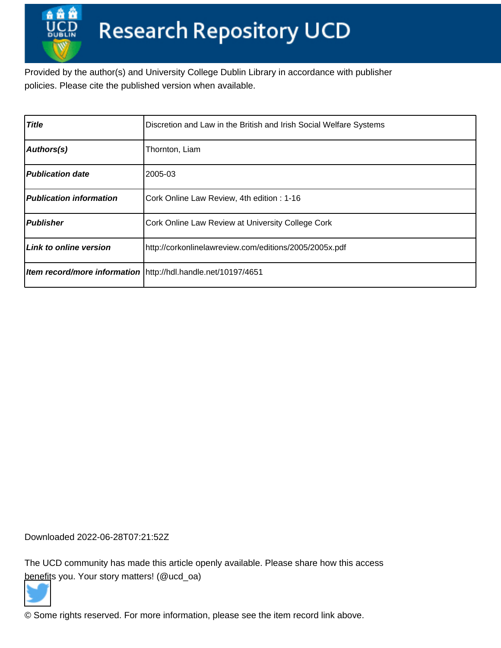Provided by the author(s) and University College Dublin Library in accordance with publisher policies. Please cite the published version when available.

| <b>Title</b>                   | Discretion and Law in the British and Irish Social Welfare Systems |
|--------------------------------|--------------------------------------------------------------------|
| Authors(s)                     | Thornton, Liam                                                     |
| <b>Publication date</b>        | 2005-03                                                            |
| <b>Publication information</b> | Cork Online Law Review, 4th edition: 1-16                          |
| <b>Publisher</b>               | Cork Online Law Review at University College Cork                  |
| Link to online version         | http://corkonlinelawreview.com/editions/2005/2005x.pdf             |
|                                | Item record/more information \http://hdl.handle.net/10197/4651     |

Downloaded 2022-06-28T07:21:52Z

The UCD community has made this article openly available. Please share how this access [benefit](https://twitter.com/intent/tweet?via=ucd_oa&text=Discretion+and+Law+in+the+British+and...&url=http%3A%2F%2Fhdl.handle.net%2F10197%2F4651)s you. Your story matters! (@ucd\_oa)



© Some rights reserved. For more information, please see the item record link above.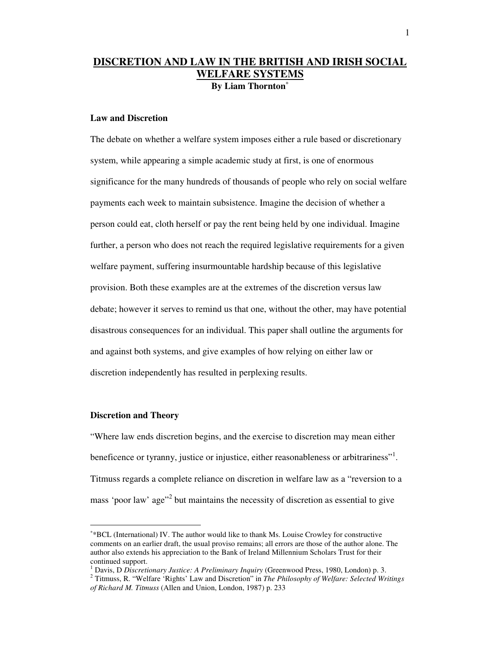## **DISCRETION AND LAW IN THE BRITISH AND IRISH SOCIAL WELFARE SYSTEMS By Liam Thornton**<sup>∗</sup>

## **Law and Discretion**

The debate on whether a welfare system imposes either a rule based or discretionary system, while appearing a simple academic study at first, is one of enormous significance for the many hundreds of thousands of people who rely on social welfare payments each week to maintain subsistence. Imagine the decision of whether a person could eat, cloth herself or pay the rent being held by one individual. Imagine further, a person who does not reach the required legislative requirements for a given welfare payment, suffering insurmountable hardship because of this legislative provision. Both these examples are at the extremes of the discretion versus law debate; however it serves to remind us that one, without the other, may have potential disastrous consequences for an individual. This paper shall outline the arguments for and against both systems, and give examples of how relying on either law or discretion independently has resulted in perplexing results.

### **Discretion and Theory**

 $\overline{a}$ 

"Where law ends discretion begins, and the exercise to discretion may mean either beneficence or tyranny, justice or injustice, either reasonableness or arbitrariness"<sup>1</sup>. Titmuss regards a complete reliance on discretion in welfare law as a "reversion to a mass 'poor law' age<sup>"2</sup> but maintains the necessity of discretion as essential to give

<sup>∗</sup> \*BCL (International) IV. The author would like to thank Ms. Louise Crowley for constructive comments on an earlier draft, the usual proviso remains; all errors are those of the author alone. The author also extends his appreciation to the Bank of Ireland Millennium Scholars Trust for their continued support.

<sup>&</sup>lt;sup>1</sup> Davis, D Discretionary Justice: A Preliminary Inquiry (Greenwood Press, 1980, London) p. 3.

<sup>2</sup> Titmuss, R. "Welfare 'Rights' Law and Discretion" in *The Philosophy of Welfare: Selected Writings of Richard M. Titmuss* (Allen and Union, London, 1987) p. 233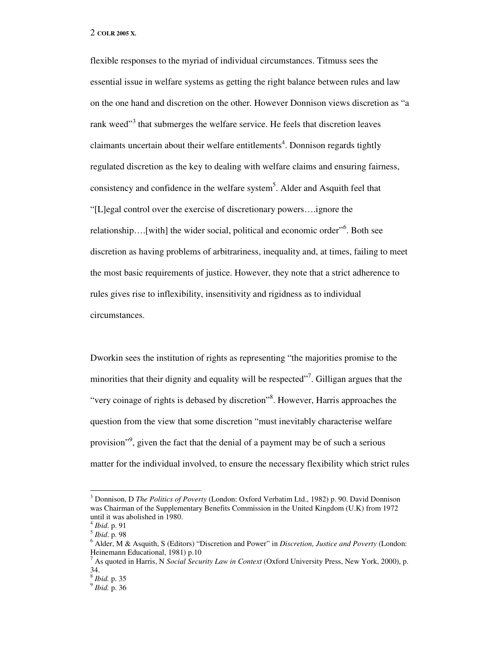flexible responses to the myriad of individual circumstances. Titmuss sees the essential issue in welfare systems as getting the right balance between rules and law on the one hand and discretion on the other. However Donnison views discretion as "a rank weed"<sup>3</sup> that submerges the welfare service. He feels that discretion leaves claimants uncertain about their welfare entitlements<sup>4</sup>. Donnison regards tightly regulated discretion as the key to dealing with welfare claims and ensuring fairness, consistency and confidence in the welfare system<sup>5</sup>. Alder and Asquith feel that "[L]egal control over the exercise of discretionary powers….ignore the relationship....[with] the wider social, political and economic order"<sup>6</sup>. Both see discretion as having problems of arbitrariness, inequality and, at times, failing to meet the most basic requirements of justice. However, they note that a strict adherence to rules gives rise to inflexibility, insensitivity and rigidness as to individual circumstances.

Dworkin sees the institution of rights as representing "the majorities promise to the minorities that their dignity and equality will be respected"<sup>7</sup>. Gilligan argues that the "very coinage of rights is debased by discretion"<sup>8</sup>. However, Harris approaches the question from the view that some discretion "must inevitably characterise welfare provision"<sup>9</sup>, given the fact that the denial of a payment may be of such a serious matter for the individual involved, to ensure the necessary flexibility which strict rules

<sup>3</sup> Donnison, D *The Politics of Poverty* (London: Oxford Verbatim Ltd., 1982) p. 90. David Donnison was Chairman of the Supplementary Benefits Commission in the United Kingdom (U.K) from 1972 until it was abolished in 1980.

<sup>4</sup> *Ibid*. p. 91

<sup>5</sup> *Ibid*. p. 98

<sup>6</sup> Alder, M & Asquith, S (Editors) "Discretion and Power" in *Discretion, Justice and Poverty* (London: Heinemann Educational, 1981) p.10

<sup>7</sup> As quoted in Harris, N *Social Security Law in Context* (Oxford University Press, New York, 2000), p. 34.

<sup>8</sup> *Ibid.* p. 35

<sup>9</sup> *Ibid.* p. 36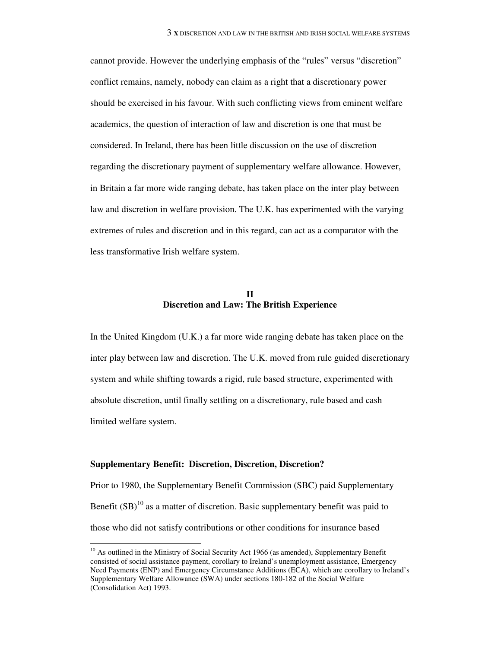cannot provide. However the underlying emphasis of the "rules" versus "discretion" conflict remains, namely, nobody can claim as a right that a discretionary power should be exercised in his favour. With such conflicting views from eminent welfare academics, the question of interaction of law and discretion is one that must be considered. In Ireland, there has been little discussion on the use of discretion regarding the discretionary payment of supplementary welfare allowance. However, in Britain a far more wide ranging debate, has taken place on the inter play between law and discretion in welfare provision. The U.K. has experimented with the varying extremes of rules and discretion and in this regard, can act as a comparator with the less transformative Irish welfare system.

## **II Discretion and Law: The British Experience**

In the United Kingdom (U.K.) a far more wide ranging debate has taken place on the inter play between law and discretion. The U.K. moved from rule guided discretionary system and while shifting towards a rigid, rule based structure, experimented with absolute discretion, until finally settling on a discretionary, rule based and cash limited welfare system.

### **Supplementary Benefit: Discretion, Discretion, Discretion?**

 $\overline{a}$ 

Prior to 1980, the Supplementary Benefit Commission (SBC) paid Supplementary Benefit  $(SB)^{10}$  as a matter of discretion. Basic supplementary benefit was paid to those who did not satisfy contributions or other conditions for insurance based

 $10$  As outlined in the Ministry of Social Security Act 1966 (as amended), Supplementary Benefit consisted of social assistance payment, corollary to Ireland's unemployment assistance, Emergency Need Payments (ENP) and Emergency Circumstance Additions (ECA), which are corollary to Ireland's Supplementary Welfare Allowance (SWA) under sections 180-182 of the Social Welfare (Consolidation Act) 1993.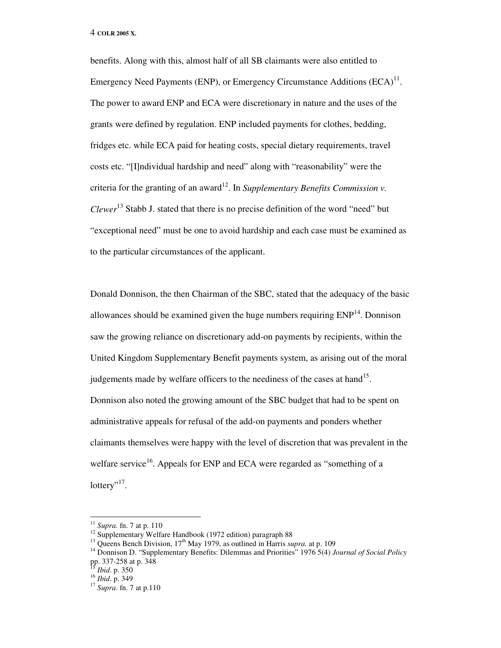benefits. Along with this, almost half of all SB claimants were also entitled to Emergency Need Payments (ENP), or Emergency Circumstance Additions  $(ECA)^{11}$ . The power to award ENP and ECA were discretionary in nature and the uses of the grants were defined by regulation. ENP included payments for clothes, bedding, fridges etc. while ECA paid for heating costs, special dietary requirements, travel costs etc. "[I]ndividual hardship and need" along with "reasonability" were the criteria for the granting of an award<sup>12</sup>. In *Supplementary Benefits Commission v. Clewer*<sup>13</sup> Stabb J. stated that there is no precise definition of the word "need" but "exceptional need" must be one to avoid hardship and each case must be examined as to the particular circumstances of the applicant.

Donald Donnison, the then Chairman of the SBC, stated that the adequacy of the basic allowances should be examined given the huge numbers requiring  $ENP<sup>14</sup>$ . Donnison saw the growing reliance on discretionary add-on payments by recipients, within the United Kingdom Supplementary Benefit payments system, as arising out of the moral judgements made by welfare officers to the neediness of the cases at hand<sup>15</sup>. Donnison also noted the growing amount of the SBC budget that had to be spent on administrative appeals for refusal of the add-on payments and ponders whether claimants themselves were happy with the level of discretion that was prevalent in the welfare service<sup>16</sup>. Appeals for ENP and ECA were regarded as "something of a lottery"<sup>17</sup>.

<sup>11</sup> *Supra.* fn. 7 at p. 110

<sup>&</sup>lt;sup>12</sup> Supplementary Welfare Handbook (1972 edition) paragraph 88

<sup>&</sup>lt;sup>13</sup> Queens Bench Division, 17<sup>th</sup> May 1979, as outlined in Harris *supra*. at p. 109

<sup>14</sup> Donnison D. "Supplementary Benefits: Dilemmas and Priorities" 1976 5(4) *Journal of Social Policy* pp. 337-258 at p. 348

<sup>15</sup> *Ibid*. p. 350

<sup>16</sup> *Ibid*. p. 349

<sup>17</sup> *Supra*. fn. 7 at p.110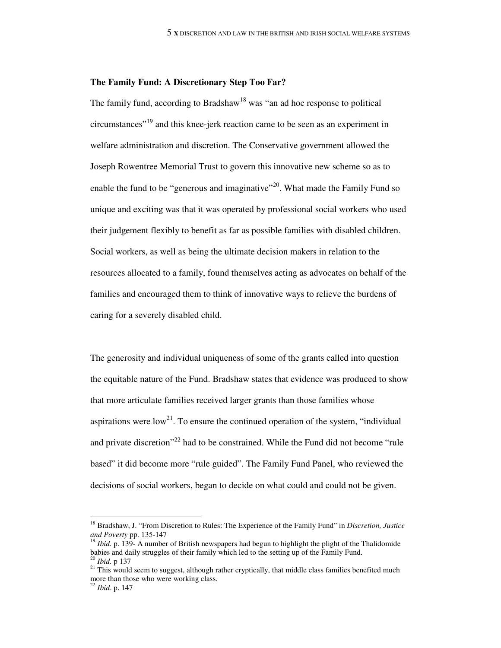#### **The Family Fund: A Discretionary Step Too Far?**

The family fund, according to Bradshaw<sup>18</sup> was "an ad hoc response to political circumstances"<sup>19</sup> and this knee-jerk reaction came to be seen as an experiment in welfare administration and discretion. The Conservative government allowed the Joseph Rowentree Memorial Trust to govern this innovative new scheme so as to enable the fund to be "generous and imaginative"<sup>20</sup>. What made the Family Fund so unique and exciting was that it was operated by professional social workers who used their judgement flexibly to benefit as far as possible families with disabled children. Social workers, as well as being the ultimate decision makers in relation to the resources allocated to a family, found themselves acting as advocates on behalf of the families and encouraged them to think of innovative ways to relieve the burdens of caring for a severely disabled child.

The generosity and individual uniqueness of some of the grants called into question the equitable nature of the Fund. Bradshaw states that evidence was produced to show that more articulate families received larger grants than those families whose aspirations were  $low^{21}$ . To ensure the continued operation of the system, "individual and private discretion<sup> $22$ </sup> had to be constrained. While the Fund did not become "rule" based" it did become more "rule guided". The Family Fund Panel, who reviewed the decisions of social workers, began to decide on what could and could not be given.

<sup>18</sup> Bradshaw, J. "From Discretion to Rules: The Experience of the Family Fund" in *Discretion, Justice and Poverty* pp. 135-147

<sup>&</sup>lt;sup>19</sup> *Ibid.* p. 139- A number of British newspapers had begun to highlight the plight of the Thalidomide babies and daily struggles of their family which led to the setting up of the Family Fund. <sup>20</sup> *Ibid.* p 137

 $21$  This would seem to suggest, although rather cryptically, that middle class families benefited much more than those who were working class.

<sup>22</sup> *Ibid*. p. 147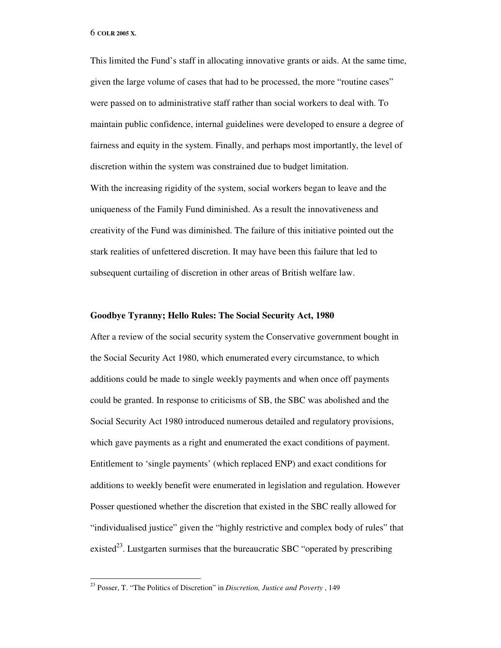This limited the Fund's staff in allocating innovative grants or aids. At the same time, given the large volume of cases that had to be processed, the more "routine cases" were passed on to administrative staff rather than social workers to deal with. To maintain public confidence, internal guidelines were developed to ensure a degree of fairness and equity in the system. Finally, and perhaps most importantly, the level of discretion within the system was constrained due to budget limitation. With the increasing rigidity of the system, social workers began to leave and the uniqueness of the Family Fund diminished. As a result the innovativeness and creativity of the Fund was diminished. The failure of this initiative pointed out the stark realities of unfettered discretion. It may have been this failure that led to subsequent curtailing of discretion in other areas of British welfare law.

## **Goodbye Tyranny; Hello Rules: The Social Security Act, 1980**

After a review of the social security system the Conservative government bought in the Social Security Act 1980, which enumerated every circumstance, to which additions could be made to single weekly payments and when once off payments could be granted. In response to criticisms of SB, the SBC was abolished and the Social Security Act 1980 introduced numerous detailed and regulatory provisions, which gave payments as a right and enumerated the exact conditions of payment. Entitlement to 'single payments' (which replaced ENP) and exact conditions for additions to weekly benefit were enumerated in legislation and regulation. However Posser questioned whether the discretion that existed in the SBC really allowed for "individualised justice" given the "highly restrictive and complex body of rules" that existed<sup>23</sup>. Lustgarten surmises that the bureaucratic SBC "operated by prescribing

<sup>23</sup> Posser, T. "The Politics of Discretion" in *Discretion, Justice and Poverty* , 149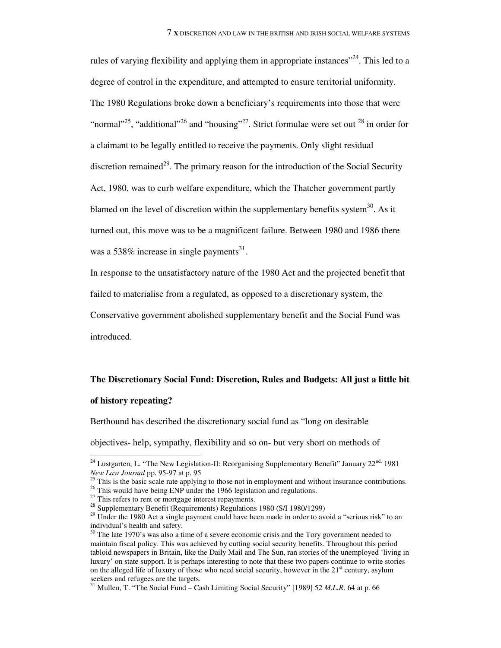rules of varying flexibility and applying them in appropriate instances<sup> $24$ </sup>. This led to a degree of control in the expenditure, and attempted to ensure territorial uniformity. The 1980 Regulations broke down a beneficiary's requirements into those that were "normal"<sup>25</sup>, "additional"<sup>26</sup> and "housing"<sup>27</sup>. Strict formulae were set out  $^{28}$  in order for a claimant to be legally entitled to receive the payments. Only slight residual discretion remained<sup>29</sup>. The primary reason for the introduction of the Social Security Act, 1980, was to curb welfare expenditure, which the Thatcher government partly blamed on the level of discretion within the supplementary benefits system $^{30}$ . As it turned out, this move was to be a magnificent failure. Between 1980 and 1986 there was a 538% increase in single payments<sup>31</sup>.

In response to the unsatisfactory nature of the 1980 Act and the projected benefit that failed to materialise from a regulated, as opposed to a discretionary system, the Conservative government abolished supplementary benefit and the Social Fund was introduced.

# **The Discretionary Social Fund: Discretion, Rules and Budgets: All just a little bit**

## **of history repeating?**

 $\overline{a}$ 

Berthound has described the discretionary social fund as "long on desirable

objectives- help, sympathy, flexibility and so on- but very short on methods of

 $24$  Lustgarten, L. "The New Legislation-II: Reorganising Supplementary Benefit" January  $22<sup>nd</sup>$ , 1981 *New Law Journal* pp. 95-97 at p. 95<sup>25</sup>

<sup>25</sup> This is the basic scale rate applying to those not in employment and without insurance contributions.

<sup>&</sup>lt;sup>26</sup> This would have being ENP under the 1966 legislation and regulations.

 $27$  This refers to rent or mortgage interest repayments.

<sup>&</sup>lt;sup>28</sup> Supplementary Benefit (Requirements) Regulations 1980 (S/I 1980/1299)

<sup>&</sup>lt;sup>29</sup> Under the 1980 Act a single payment could have been made in order to avoid a "serious risk" to an individual's health and safety.

 $30$  The late 1970's was also a time of a severe economic crisis and the Tory government needed to maintain fiscal policy. This was achieved by cutting social security benefits. Throughout this period tabloid newspapers in Britain, like the Daily Mail and The Sun, ran stories of the unemployed 'living in luxury' on state support. It is perhaps interesting to note that these two papers continue to write stories on the alleged life of luxury of those who need social security, however in the  $21<sup>st</sup>$  century, asylum seekers and refugees are the targets.

<sup>31</sup> Mullen, T. "The Social Fund – Cash Limiting Social Security" [1989] 52 *M.L.R*. 64 at p. 66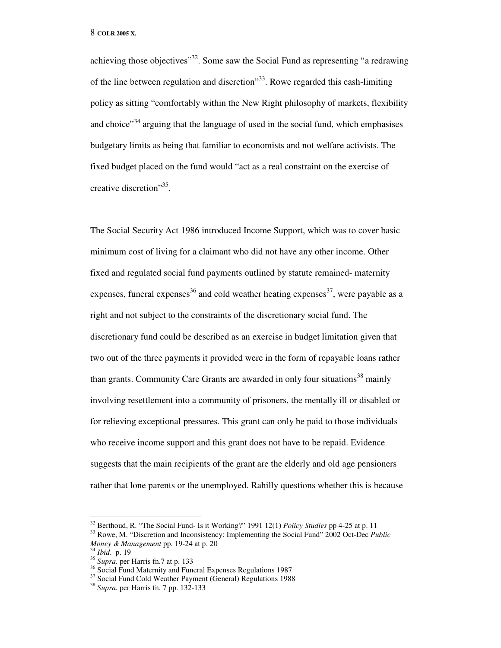achieving those objectives"<sup>32</sup>. Some saw the Social Fund as representing "a redrawing" of the line between regulation and discretion<sup> $33$ </sup>. Rowe regarded this cash-limiting policy as sitting "comfortably within the New Right philosophy of markets, flexibility and choice"<sup>34</sup> arguing that the language of used in the social fund, which emphasises budgetary limits as being that familiar to economists and not welfare activists. The fixed budget placed on the fund would "act as a real constraint on the exercise of creative discretion"<sup>35</sup>.

The Social Security Act 1986 introduced Income Support, which was to cover basic minimum cost of living for a claimant who did not have any other income. Other fixed and regulated social fund payments outlined by statute remained- maternity expenses, funeral expenses<sup>36</sup> and cold weather heating expenses<sup>37</sup>, were payable as a right and not subject to the constraints of the discretionary social fund. The discretionary fund could be described as an exercise in budget limitation given that two out of the three payments it provided were in the form of repayable loans rather than grants. Community Care Grants are awarded in only four situations<sup>38</sup> mainly involving resettlement into a community of prisoners, the mentally ill or disabled or for relieving exceptional pressures. This grant can only be paid to those individuals who receive income support and this grant does not have to be repaid. Evidence suggests that the main recipients of the grant are the elderly and old age pensioners rather that lone parents or the unemployed. Rahilly questions whether this is because

<sup>32</sup> Berthoud, R. "The Social Fund- Is it Working?" 1991 12(1) *Policy Studies* pp 4-25 at p. 11

<sup>33</sup> Rowe, M. "Discretion and Inconsistency: Implementing the Social Fund" 2002 Oct-Dec *Public Money & Management* pp. 19-24 at p. 20

<sup>34</sup> *Ibid*. p. 19

<sup>&</sup>lt;sup>35</sup> *Supra*. per Harris fn.7 at p. 133

<sup>&</sup>lt;sup>36</sup> Social Fund Maternity and Funeral Expenses Regulations 1987

<sup>&</sup>lt;sup>37</sup> Social Fund Cold Weather Payment (General) Regulations 1988

<sup>38</sup> *Supra.* per Harris fn. 7 pp. 132-133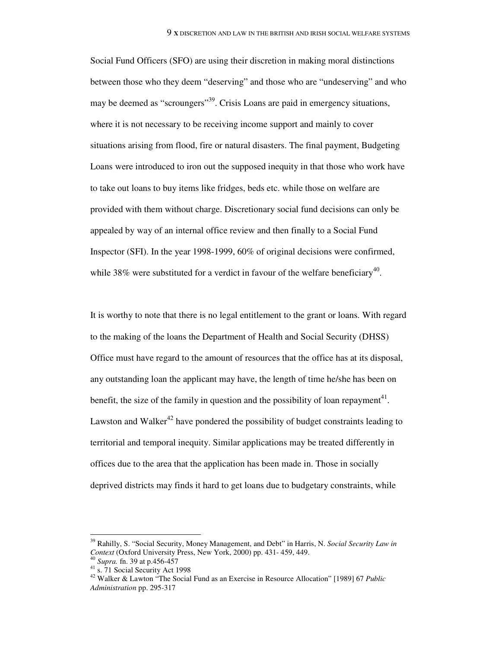Social Fund Officers (SFO) are using their discretion in making moral distinctions between those who they deem "deserving" and those who are "undeserving" and who may be deemed as "scroungers"<sup>39</sup>. Crisis Loans are paid in emergency situations, where it is not necessary to be receiving income support and mainly to cover situations arising from flood, fire or natural disasters. The final payment, Budgeting Loans were introduced to iron out the supposed inequity in that those who work have to take out loans to buy items like fridges, beds etc. while those on welfare are provided with them without charge. Discretionary social fund decisions can only be appealed by way of an internal office review and then finally to a Social Fund Inspector (SFI). In the year 1998-1999, 60% of original decisions were confirmed, while 38% were substituted for a verdict in favour of the welfare beneficiary<sup>40</sup>.

It is worthy to note that there is no legal entitlement to the grant or loans. With regard to the making of the loans the Department of Health and Social Security (DHSS) Office must have regard to the amount of resources that the office has at its disposal, any outstanding loan the applicant may have, the length of time he/she has been on benefit, the size of the family in question and the possibility of loan repayment<sup>41</sup>. Lawston and Walker<sup>42</sup> have pondered the possibility of budget constraints leading to territorial and temporal inequity. Similar applications may be treated differently in offices due to the area that the application has been made in. Those in socially deprived districts may finds it hard to get loans due to budgetary constraints, while

<sup>39</sup> Rahilly, S. "Social Security, Money Management, and Debt" in Harris, N. *Social Security Law in Context* (Oxford University Press, New York, 2000) pp. 431- 459, 449.

<sup>40</sup> *Supra.* fn. 39 at p.456-457

 $^{41}$  s. 71 Social Security Act 1998

<sup>42</sup> Walker & Lawton "The Social Fund as an Exercise in Resource Allocation" [1989] 67 *Public Administration* pp. 295-317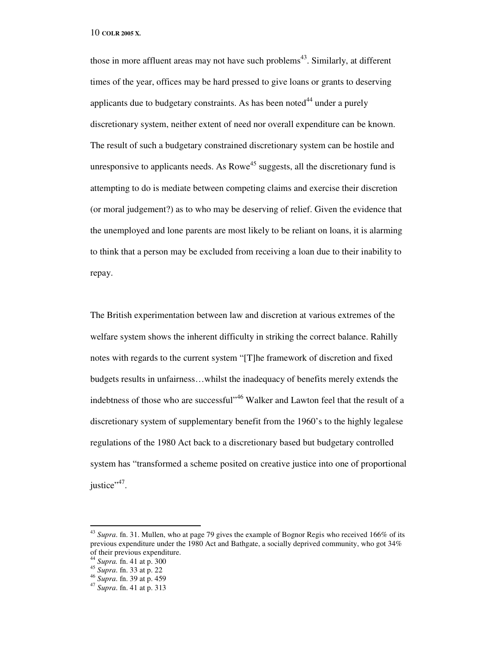those in more affluent areas may not have such problems<sup>43</sup>. Similarly, at different times of the year, offices may be hard pressed to give loans or grants to deserving applicants due to budgetary constraints. As has been noted $^{44}$  under a purely discretionary system, neither extent of need nor overall expenditure can be known. The result of such a budgetary constrained discretionary system can be hostile and unresponsive to applicants needs. As Rowe<sup>45</sup> suggests, all the discretionary fund is attempting to do is mediate between competing claims and exercise their discretion (or moral judgement?) as to who may be deserving of relief. Given the evidence that the unemployed and lone parents are most likely to be reliant on loans, it is alarming to think that a person may be excluded from receiving a loan due to their inability to repay.

The British experimentation between law and discretion at various extremes of the welfare system shows the inherent difficulty in striking the correct balance. Rahilly notes with regards to the current system "[T]he framework of discretion and fixed budgets results in unfairness…whilst the inadequacy of benefits merely extends the indebtness of those who are successful"<sup>46</sup> Walker and Lawton feel that the result of a discretionary system of supplementary benefit from the 1960's to the highly legalese regulations of the 1980 Act back to a discretionary based but budgetary controlled system has "transformed a scheme posited on creative justice into one of proportional justice"<sup>47</sup>.

<sup>43</sup> *Supra*. fn. 31. Mullen, who at page 79 gives the example of Bognor Regis who received 166% of its previous expenditure under the 1980 Act and Bathgate, a socially deprived community, who got 34% of their previous expenditure.

<sup>44</sup> *Supra.* fn. 41 at p. 300

<sup>45</sup> *Supra*. fn. 33 at p. 22

<sup>46</sup> *Supra*. fn. 39 at p. 459

<sup>47</sup> *Supra*. fn. 41 at p. 313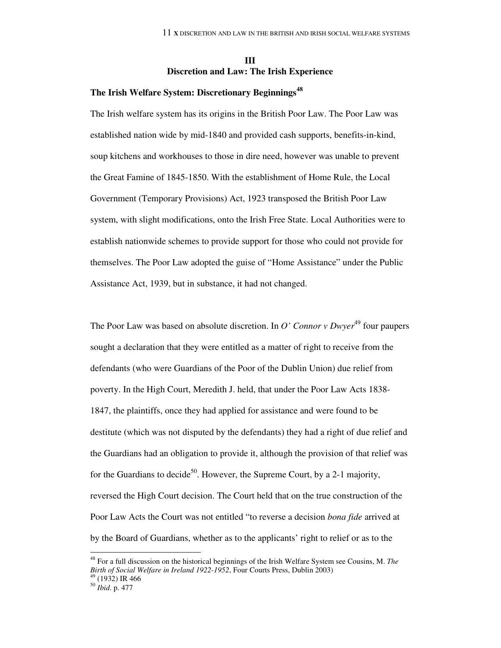## **III Discretion and Law: The Irish Experience**

## **The Irish Welfare System: Discretionary Beginnings<sup>48</sup>**

The Irish welfare system has its origins in the British Poor Law. The Poor Law was established nation wide by mid-1840 and provided cash supports, benefits-in-kind, soup kitchens and workhouses to those in dire need, however was unable to prevent the Great Famine of 1845-1850. With the establishment of Home Rule, the Local Government (Temporary Provisions) Act, 1923 transposed the British Poor Law system, with slight modifications, onto the Irish Free State. Local Authorities were to establish nationwide schemes to provide support for those who could not provide for themselves. The Poor Law adopted the guise of "Home Assistance" under the Public Assistance Act, 1939, but in substance, it had not changed.

The Poor Law was based on absolute discretion. In *O' Connor v Dwyer*<sup>49</sup> four paupers sought a declaration that they were entitled as a matter of right to receive from the defendants (who were Guardians of the Poor of the Dublin Union) due relief from poverty. In the High Court, Meredith J. held, that under the Poor Law Acts 1838- 1847, the plaintiffs, once they had applied for assistance and were found to be destitute (which was not disputed by the defendants) they had a right of due relief and the Guardians had an obligation to provide it, although the provision of that relief was for the Guardians to decide<sup>50</sup>. However, the Supreme Court, by a 2-1 majority, reversed the High Court decision. The Court held that on the true construction of the Poor Law Acts the Court was not entitled "to reverse a decision *bona fide* arrived at by the Board of Guardians, whether as to the applicants' right to relief or as to the

<sup>48</sup> For a full discussion on the historical beginnings of the Irish Welfare System see Cousins, M. *The Birth of Social Welfare in Ireland 1922-1952*, Four Courts Press, Dublin 2003)

<sup>49</sup> (1932) IR 466

<sup>50</sup> *Ibid.* p. 477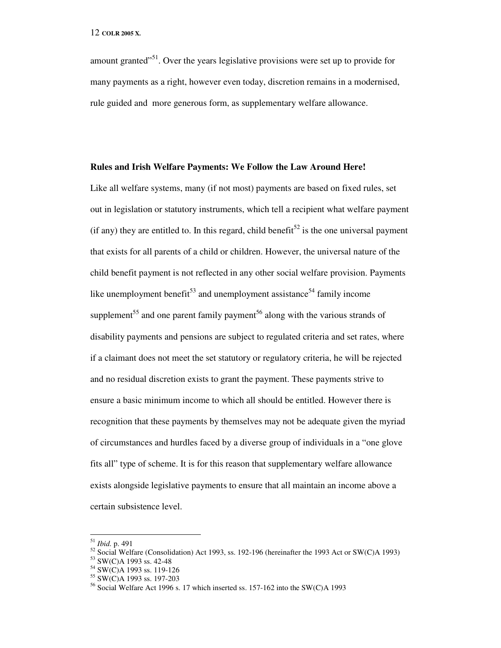amount granted $^{51}$ . Over the years legislative provisions were set up to provide for many payments as a right, however even today, discretion remains in a modernised, rule guided and more generous form, as supplementary welfare allowance.

#### **Rules and Irish Welfare Payments: We Follow the Law Around Here!**

Like all welfare systems, many (if not most) payments are based on fixed rules, set out in legislation or statutory instruments, which tell a recipient what welfare payment (if any) they are entitled to. In this regard, child benefit<sup>52</sup> is the one universal payment that exists for all parents of a child or children. However, the universal nature of the child benefit payment is not reflected in any other social welfare provision. Payments like unemployment benefit<sup>53</sup> and unemployment assistance<sup>54</sup> family income supplement<sup>55</sup> and one parent family payment<sup>56</sup> along with the various strands of disability payments and pensions are subject to regulated criteria and set rates, where if a claimant does not meet the set statutory or regulatory criteria, he will be rejected and no residual discretion exists to grant the payment. These payments strive to ensure a basic minimum income to which all should be entitled. However there is recognition that these payments by themselves may not be adequate given the myriad of circumstances and hurdles faced by a diverse group of individuals in a "one glove fits all" type of scheme. It is for this reason that supplementary welfare allowance exists alongside legislative payments to ensure that all maintain an income above a certain subsistence level.

<sup>51</sup> *Ibid.* p. 491

 $52$  Social Welfare (Consolidation) Act 1993, ss. 192-196 (hereinafter the 1993 Act or SW(C)A 1993)

<sup>53</sup> SW(C)A 1993 ss. 42-48

<sup>54</sup> SW(C)A 1993 ss. 119-126

<sup>55</sup> SW(C)A 1993 ss. 197-203

<sup>56</sup> Social Welfare Act 1996 s. 17 which inserted ss. 157-162 into the SW(C)A 1993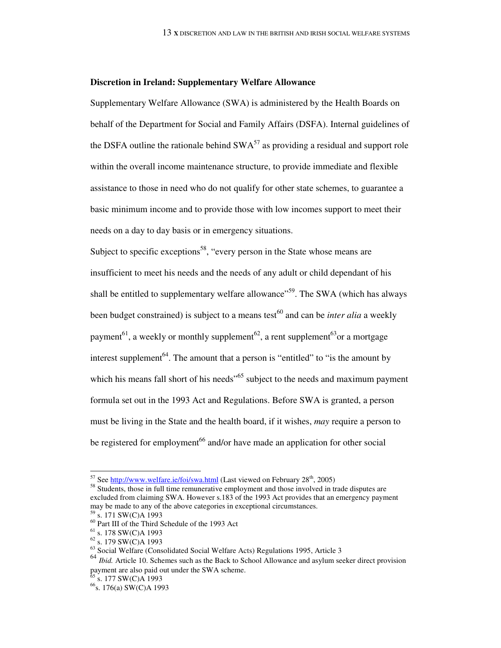#### **Discretion in Ireland: Supplementary Welfare Allowance**

Supplementary Welfare Allowance (SWA) is administered by the Health Boards on behalf of the Department for Social and Family Affairs (DSFA). Internal guidelines of the DSFA outline the rationale behind  $SWA^{57}$  as providing a residual and support role within the overall income maintenance structure, to provide immediate and flexible assistance to those in need who do not qualify for other state schemes, to guarantee a basic minimum income and to provide those with low incomes support to meet their needs on a day to day basis or in emergency situations.

Subject to specific exceptions<sup>58</sup>, "every person in the State whose means are insufficient to meet his needs and the needs of any adult or child dependant of his shall be entitled to supplementary welfare allowance<sup>559</sup>. The SWA (which has always been budget constrained) is subject to a means test<sup>60</sup> and can be *inter alia* a weekly payment<sup>61</sup>, a weekly or monthly supplement<sup>62</sup>, a rent supplement<sup>63</sup> or a mortgage interest supplement<sup>64</sup>. The amount that a person is "entitled" to "is the amount by which his means fall short of his needs<sup>"65</sup> subject to the needs and maximum payment formula set out in the 1993 Act and Regulations. Before SWA is granted, a person must be living in the State and the health board, if it wishes, *may* require a person to be registered for employment<sup>66</sup> and/or have made an application for other social

 $\overline{a}$ 

s. 177 SW(C)A 1993

<sup>&</sup>lt;sup>57</sup> See  $\frac{\text{http://www.welfare.ie/foi/swa.html}}{\text{http://www.welfare.ie/foi/swa.html}}$  (Last viewed on February 28<sup>th</sup>, 2005)

<sup>&</sup>lt;sup>58</sup> Students, those in full time remunerative employment and those involved in trade disputes are excluded from claiming SWA. However s.183 of the 1993 Act provides that an emergency payment may be made to any of the above categories in exceptional circumstances.

<sup>59</sup> s. 171 SW(C)A 1993

 $60$  Part III of the Third Schedule of the 1993 Act

 $61$  s. 178 SW(C)A 1993

<sup>62</sup> s. 179 SW(C)A 1993

 $63$  Social Welfare (Consolidated Social Welfare Acts) Regulations 1995, Article 3

<sup>64</sup> *Ibid.* Article 10. Schemes such as the Back to School Allowance and asylum seeker direct provision payment are also paid out under the SWA scheme.

<sup>&</sup>lt;sup>66</sup>s. 176(a) SW(C)A 1993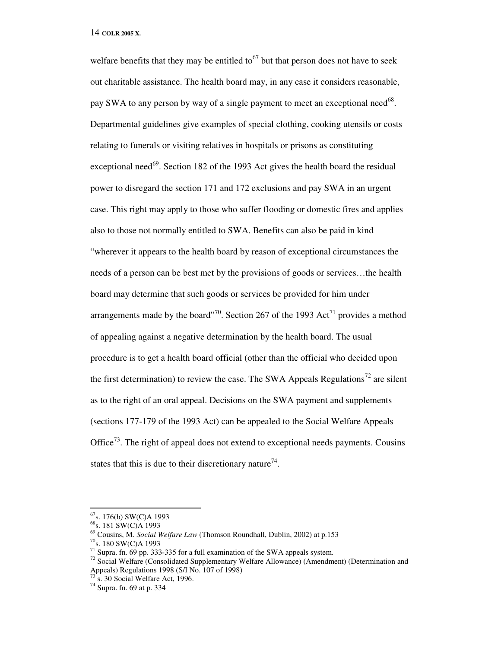welfare benefits that they may be entitled to<sup>67</sup> but that person does not have to seek out charitable assistance. The health board may, in any case it considers reasonable, pay SWA to any person by way of a single payment to meet an exceptional need<sup>68</sup>. Departmental guidelines give examples of special clothing, cooking utensils or costs relating to funerals or visiting relatives in hospitals or prisons as constituting exceptional need<sup>69</sup>. Section 182 of the 1993 Act gives the health board the residual power to disregard the section 171 and 172 exclusions and pay SWA in an urgent case. This right may apply to those who suffer flooding or domestic fires and applies also to those not normally entitled to SWA. Benefits can also be paid in kind "wherever it appears to the health board by reason of exceptional circumstances the needs of a person can be best met by the provisions of goods or services…the health board may determine that such goods or services be provided for him under arrangements made by the board"<sup>70</sup>. Section 267 of the 1993 Act<sup>71</sup> provides a method of appealing against a negative determination by the health board. The usual procedure is to get a health board official (other than the official who decided upon the first determination) to review the case. The SWA Appeals Regulations<sup>72</sup> are silent as to the right of an oral appeal. Decisions on the SWA payment and supplements (sections 177-179 of the 1993 Act) can be appealed to the Social Welfare Appeals Office<sup> $73$ </sup>. The right of appeal does not extend to exceptional needs payments. Cousins states that this is due to their discretionary nature<sup>74</sup>.

 $67$ s. 176(b) SW(C)A 1993

<sup>&</sup>lt;sup>68</sup>s. 181 SW(C)A 1993

<sup>69</sup> Cousins, M. *Social Welfare Law* (Thomson Roundhall, Dublin, 2002) at p.153

<sup>70</sup>s. 180 SW(C)A 1993

<sup>&</sup>lt;sup>71</sup> Supra. fn. 69 pp. 333-335 for a full examination of the SWA appeals system.

<sup>&</sup>lt;sup>72</sup> Social Welfare (Consolidated Supplementary Welfare Allowance) (Amendment) (Determination and Appeals) Regulations 1998 (S/I No. 107 of 1998)

s. 30 Social Welfare Act, 1996.

<sup>74</sup> Supra. fn. 69 at p. 334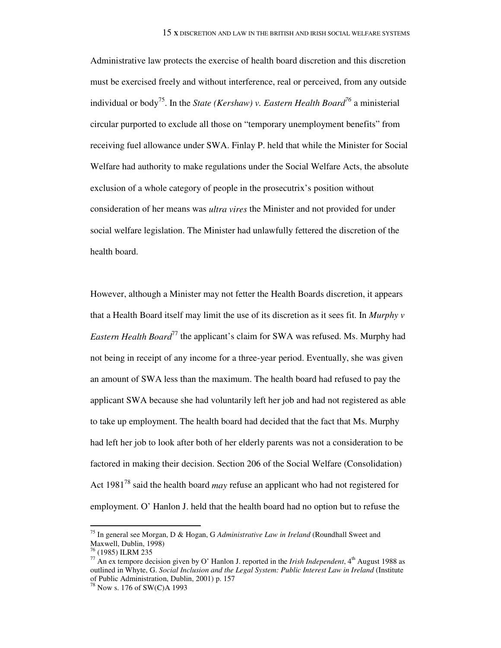Administrative law protects the exercise of health board discretion and this discretion must be exercised freely and without interference, real or perceived, from any outside individual or body<sup>75</sup>. In the *State (Kershaw) v. Eastern Health Board<sup>76</sup>* a ministerial circular purported to exclude all those on "temporary unemployment benefits" from receiving fuel allowance under SWA. Finlay P. held that while the Minister for Social Welfare had authority to make regulations under the Social Welfare Acts, the absolute exclusion of a whole category of people in the prosecutrix's position without consideration of her means was *ultra vires* the Minister and not provided for under social welfare legislation. The Minister had unlawfully fettered the discretion of the health board.

However, although a Minister may not fetter the Health Boards discretion, it appears that a Health Board itself may limit the use of its discretion as it sees fit. In *Murphy v Eastern Health Board*<sup>77</sup> the applicant's claim for SWA was refused. Ms. Murphy had not being in receipt of any income for a three-year period. Eventually, she was given an amount of SWA less than the maximum. The health board had refused to pay the applicant SWA because she had voluntarily left her job and had not registered as able to take up employment. The health board had decided that the fact that Ms. Murphy had left her job to look after both of her elderly parents was not a consideration to be factored in making their decision. Section 206 of the Social Welfare (Consolidation) Act 1981<sup>78</sup> said the health board *may* refuse an applicant who had not registered for employment. O' Hanlon J. held that the health board had no option but to refuse the

 $\ddot{\phantom{a}}$ 

<sup>75</sup> In general see Morgan, D & Hogan, G *Administrative Law in Ireland* (Roundhall Sweet and Maxwell, Dublin, 1998)

<sup>76</sup> (1985) ILRM 235

<sup>&</sup>lt;sup>77</sup> An ex tempore decision given by O' Hanlon J. reported in the *Irish Independent*,  $4<sup>th</sup>$  August 1988 as outlined in Whyte, G. *Social Inclusion and the Legal System: Public Interest Law in Ireland* (Institute of Public Administration, Dublin, 2001) p. 157

<sup>78</sup> Now s. 176 of SW(C)A 1993